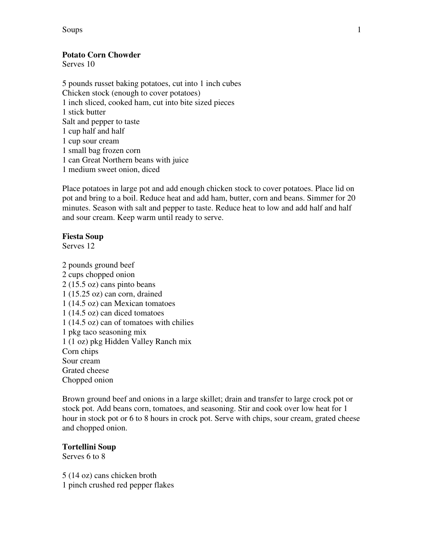Soups 1

# **Potato Corn Chowder**

Serves 10

5 pounds russet baking potatoes, cut into 1 inch cubes Chicken stock (enough to cover potatoes) 1 inch sliced, cooked ham, cut into bite sized pieces 1 stick butter Salt and pepper to taste 1 cup half and half 1 cup sour cream 1 small bag frozen corn 1 can Great Northern beans with juice 1 medium sweet onion, diced

Place potatoes in large pot and add enough chicken stock to cover potatoes. Place lid on pot and bring to a boil. Reduce heat and add ham, butter, corn and beans. Simmer for 20 minutes. Season with salt and pepper to taste. Reduce heat to low and add half and half and sour cream. Keep warm until ready to serve.

#### **Fiesta Soup**

Serves 12

2 pounds ground beef 2 cups chopped onion 2 (15.5 oz) cans pinto beans 1 (15.25 oz) can corn, drained 1 (14.5 oz) can Mexican tomatoes 1 (14.5 oz) can diced tomatoes 1 (14.5 oz) can of tomatoes with chilies 1 pkg taco seasoning mix 1 (1 oz) pkg Hidden Valley Ranch mix Corn chips Sour cream Grated cheese Chopped onion

Brown ground beef and onions in a large skillet; drain and transfer to large crock pot or stock pot. Add beans corn, tomatoes, and seasoning. Stir and cook over low heat for 1 hour in stock pot or 6 to 8 hours in crock pot. Serve with chips, sour cream, grated cheese and chopped onion.

## **Tortellini Soup**

Serves 6 to 8

5 (14 oz) cans chicken broth 1 pinch crushed red pepper flakes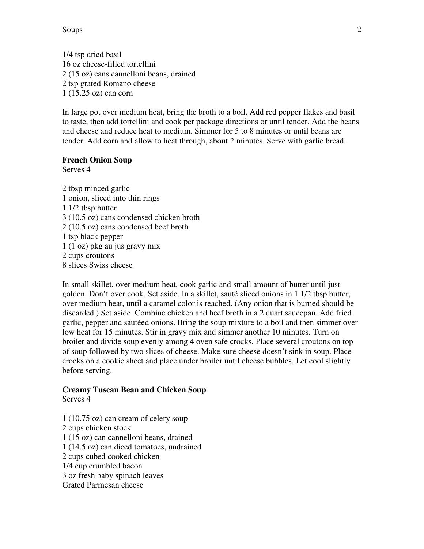Soups 2

1/4 tsp dried basil 16 oz cheese-filled tortellini 2 (15 oz) cans cannelloni beans, drained 2 tsp grated Romano cheese 1 (15.25 oz) can corn

In large pot over medium heat, bring the broth to a boil. Add red pepper flakes and basil to taste, then add tortellini and cook per package directions or until tender. Add the beans and cheese and reduce heat to medium. Simmer for 5 to 8 minutes or until beans are tender. Add corn and allow to heat through, about 2 minutes. Serve with garlic bread.

## **French Onion Soup**

Serves 4

2 tbsp minced garlic 1 onion, sliced into thin rings 1 1/2 tbsp butter 3 (10.5 oz) cans condensed chicken broth 2 (10.5 oz) cans condensed beef broth 1 tsp black pepper 1 (1 oz) pkg au jus gravy mix 2 cups croutons 8 slices Swiss cheese

In small skillet, over medium heat, cook garlic and small amount of butter until just golden. Don't over cook. Set aside. In a skillet, sauté sliced onions in 1 1/2 tbsp butter, over medium heat, until a caramel color is reached. (Any onion that is burned should be discarded.) Set aside. Combine chicken and beef broth in a 2 quart saucepan. Add fried garlic, pepper and sautéed onions. Bring the soup mixture to a boil and then simmer over low heat for 15 minutes. Stir in gravy mix and simmer another 10 minutes. Turn on broiler and divide soup evenly among 4 oven safe crocks. Place several croutons on top of soup followed by two slices of cheese. Make sure cheese doesn't sink in soup. Place crocks on a cookie sheet and place under broiler until cheese bubbles. Let cool slightly before serving.

#### **Creamy Tuscan Bean and Chicken Soup**  Serves 4

1 (10.75 oz) can cream of celery soup 2 cups chicken stock 1 (15 oz) can cannelloni beans, drained 1 (14.5 oz) can diced tomatoes, undrained 2 cups cubed cooked chicken 1/4 cup crumbled bacon 3 oz fresh baby spinach leaves Grated Parmesan cheese